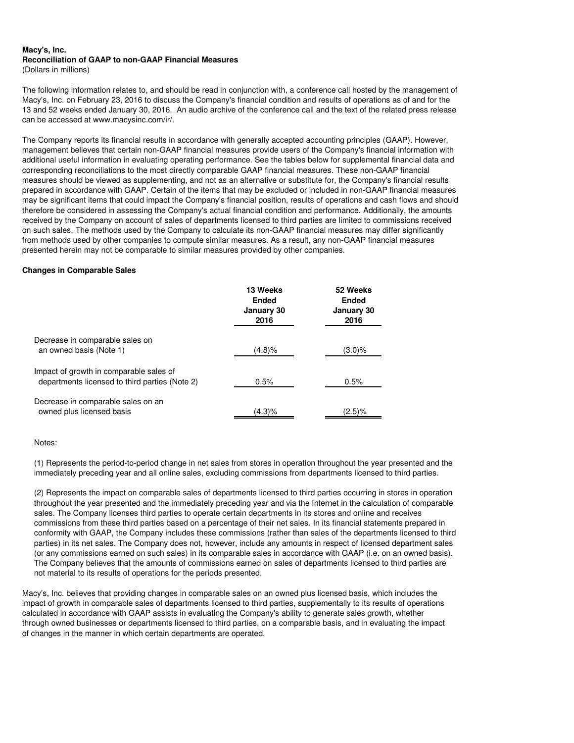#### **Macy's, Inc. Reconciliation of GAAP to non-GAAP Financial Measures** (Dollars in millions)

The following information relates to, and should be read in conjunction with, a conference call hosted by the management of Macy's, Inc. on February 23, 2016 to discuss the Company's financial condition and results of operations as of and for the 13 and 52 weeks ended January 30, 2016. An audio archive of the conference call and the text of the related press release can be accessed at www.macysinc.com/ir/.

The Company reports its financial results in accordance with generally accepted accounting principles (GAAP). However, management believes that certain non-GAAP financial measures provide users of the Company's financial information with additional useful information in evaluating operating performance. See the tables below for supplemental financial data and corresponding reconciliations to the most directly comparable GAAP financial measures. These non-GAAP financial measures should be viewed as supplementing, and not as an alternative or substitute for, the Company's financial results prepared in accordance with GAAP. Certain of the items that may be excluded or included in non-GAAP financial measures may be significant items that could impact the Company's financial position, results of operations and cash flows and should therefore be considered in assessing the Company's actual financial condition and performance. Additionally, the amounts received by the Company on account of sales of departments licensed to third parties are limited to commissions received on such sales. The methods used by the Company to calculate its non-GAAP financial measures may differ significantly from methods used by other companies to compute similar measures. As a result, any non-GAAP financial measures presented herein may not be comparable to similar measures provided by other companies.

## **Changes in Comparable Sales**

|                                                                                           | 13 Weeks<br><b>Ended</b><br>January 30<br>2016 | 52 Weeks<br><b>Ended</b><br>January 30<br>2016 |
|-------------------------------------------------------------------------------------------|------------------------------------------------|------------------------------------------------|
| Decrease in comparable sales on<br>an owned basis (Note 1)                                | (4.8)%                                         | (3.0)%                                         |
| Impact of growth in comparable sales of<br>departments licensed to third parties (Note 2) | 0.5%                                           | 0.5%                                           |
| Decrease in comparable sales on an<br>owned plus licensed basis                           | (4.3)%                                         | (2.5)%                                         |

Notes:

(1) Represents the period-to-period change in net sales from stores in operation throughout the year presented and the immediately preceding year and all online sales, excluding commissions from departments licensed to third parties.

(2) Represents the impact on comparable sales of departments licensed to third parties occurring in stores in operation throughout the year presented and the immediately preceding year and via the Internet in the calculation of comparable sales. The Company licenses third parties to operate certain departments in its stores and online and receives commissions from these third parties based on a percentage of their net sales. In its financial statements prepared in conformity with GAAP, the Company includes these commissions (rather than sales of the departments licensed to third parties) in its net sales. The Company does not, however, include any amounts in respect of licensed department sales (or any commissions earned on such sales) in its comparable sales in accordance with GAAP (i.e. on an owned basis). The Company believes that the amounts of commissions earned on sales of departments licensed to third parties are not material to its results of operations for the periods presented.

Macy's, Inc. believes that providing changes in comparable sales on an owned plus licensed basis, which includes the impact of growth in comparable sales of departments licensed to third parties, supplementally to its results of operations calculated in accordance with GAAP assists in evaluating the Company's ability to generate sales growth, whether through owned businesses or departments licensed to third parties, on a comparable basis, and in evaluating the impact of changes in the manner in which certain departments are operated.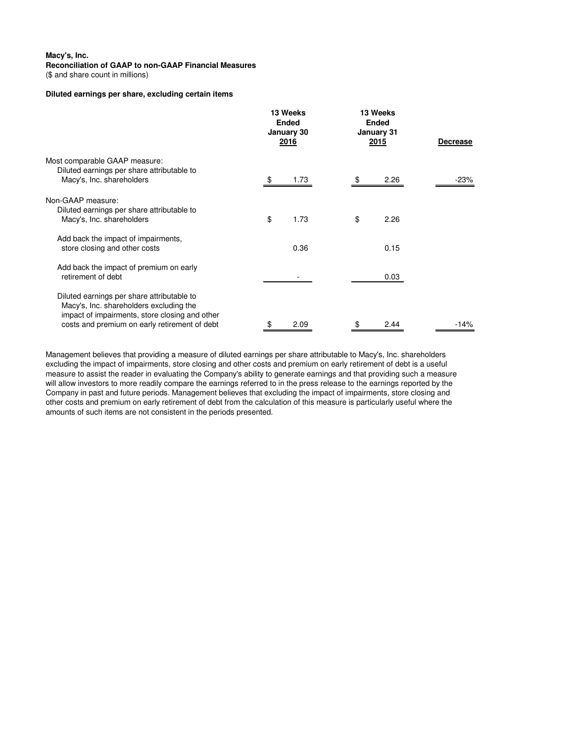(\$ and share count in millions)

# **Diluted earnings per share, excluding certain items**

|                                                                                                                                                                                          | 13 Weeks<br><b>Ended</b><br>January 30<br>2016 | 13 Weeks<br><b>Ended</b><br>January 31<br><b>2015</b> | Decrease |  |
|------------------------------------------------------------------------------------------------------------------------------------------------------------------------------------------|------------------------------------------------|-------------------------------------------------------|----------|--|
| Most comparable GAAP measure:<br>Diluted earnings per share attributable to<br>Macy's, Inc. shareholders                                                                                 | 1.73<br>- \$                                   | 2.26<br>- \$                                          | -23%     |  |
| Non-GAAP measure:<br>Diluted earnings per share attributable to<br>Macy's, Inc. shareholders                                                                                             | \$<br>1.73                                     | \$<br>2.26                                            |          |  |
| Add back the impact of impairments,<br>store closing and other costs                                                                                                                     | 0.36                                           | 0.15                                                  |          |  |
| Add back the impact of premium on early<br>retirement of debt                                                                                                                            |                                                | 0.03                                                  |          |  |
| Diluted earnings per share attributable to<br>Macy's, Inc. shareholders excluding the<br>impact of impairments, store closing and other<br>costs and premium on early retirement of debt | 2.09                                           | 2.44                                                  | $-14%$   |  |

Management believes that providing a measure of diluted earnings per share attributable to Macy's, Inc. shareholders excluding the impact of impairments, store closing and other costs and premium on early retirement of debt is a useful measure to assist the reader in evaluating the Company's ability to generate earnings and that providing such a measure will allow investors to more readily compare the earnings referred to in the press release to the earnings reported by the Company in past and future periods. Management believes that excluding the impact of impairments, store closing and other costs and premium on early retirement of debt from the calculation of this measure is particularly useful where the amounts of such items are not consistent in the periods presented.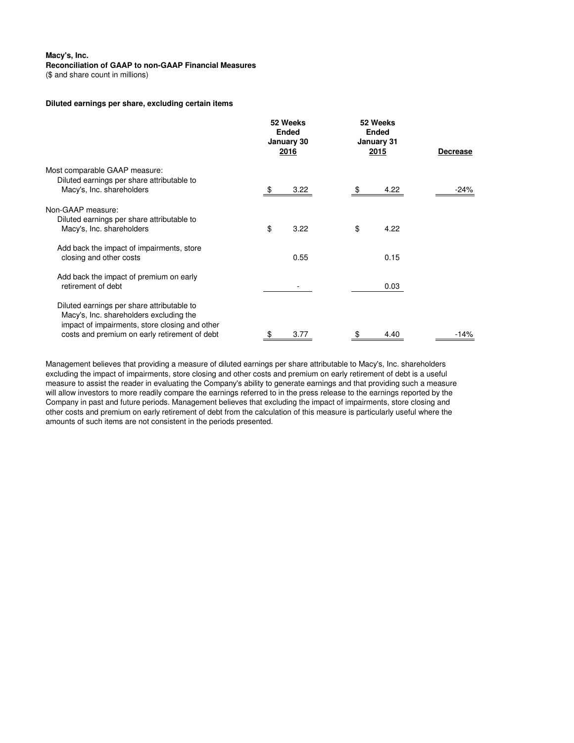# **Macy's, Inc.**

### **Reconciliation of GAAP to non-GAAP Financial Measures**

(\$ and share count in millions)

#### **Diluted earnings per share, excluding certain items**

|                                                | 52 Weeks<br><b>Ended</b><br>January 30<br><u> 2016</u> | 52 Weeks<br><b>Ended</b><br>January 31<br><u> 2015</u> |      | <b>Decrease</b> |  |
|------------------------------------------------|--------------------------------------------------------|--------------------------------------------------------|------|-----------------|--|
| Most comparable GAAP measure:                  |                                                        |                                                        |      |                 |  |
| Diluted earnings per share attributable to     |                                                        |                                                        |      |                 |  |
| Macy's, Inc. shareholders                      | 3.22                                                   | \$                                                     | 4.22 | -24%            |  |
| Non-GAAP measure:                              |                                                        |                                                        |      |                 |  |
| Diluted earnings per share attributable to     |                                                        |                                                        |      |                 |  |
| Macy's, Inc. shareholders                      | \$<br>3.22                                             | \$                                                     | 4.22 |                 |  |
| Add back the impact of impairments, store      |                                                        |                                                        |      |                 |  |
| closing and other costs                        | 0.55                                                   |                                                        | 0.15 |                 |  |
| Add back the impact of premium on early        |                                                        |                                                        |      |                 |  |
| retirement of debt                             |                                                        |                                                        | 0.03 |                 |  |
| Diluted earnings per share attributable to     |                                                        |                                                        |      |                 |  |
| Macy's, Inc. shareholders excluding the        |                                                        |                                                        |      |                 |  |
| impact of impairments, store closing and other |                                                        |                                                        |      |                 |  |
| costs and premium on early retirement of debt  | \$<br>3.77                                             | \$                                                     | 4.40 | $-14%$          |  |

Management believes that providing a measure of diluted earnings per share attributable to Macy's, Inc. shareholders excluding the impact of impairments, store closing and other costs and premium on early retirement of debt is a useful measure to assist the reader in evaluating the Company's ability to generate earnings and that providing such a measure will allow investors to more readily compare the earnings referred to in the press release to the earnings reported by the Company in past and future periods. Management believes that excluding the impact of impairments, store closing and other costs and premium on early retirement of debt from the calculation of this measure is particularly useful where the amounts of such items are not consistent in the periods presented.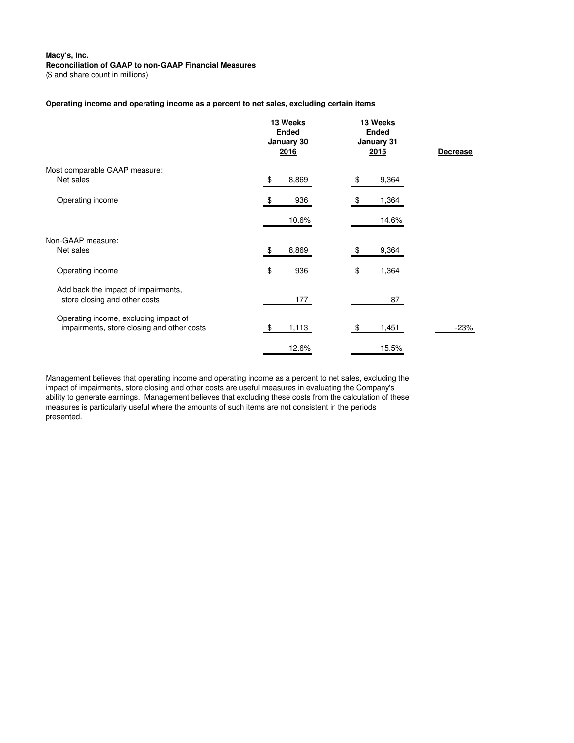(\$ and share count in millions)

# **Operating income and operating income as a percent to net sales, excluding certain items**

|                                                                                     | 13 Weeks<br><b>Ended</b><br>January 30<br>2016 | 13 Weeks<br><b>Ended</b><br>January 31<br><u>2015</u> | <b>Decrease</b> |
|-------------------------------------------------------------------------------------|------------------------------------------------|-------------------------------------------------------|-----------------|
| Most comparable GAAP measure:<br>Net sales                                          | 8,869<br>\$                                    | 9,364<br>\$                                           |                 |
| Operating income                                                                    | 936<br>\$                                      | 1,364<br>\$                                           |                 |
| Non-GAAP measure:<br>Net sales                                                      | 10.6%<br>8,869                                 | 14.6%<br>9,364                                        |                 |
| Operating income                                                                    | \$<br>936                                      | \$<br>1,364                                           |                 |
| Add back the impact of impairments,<br>store closing and other costs                | 177                                            | 87                                                    |                 |
| Operating income, excluding impact of<br>impairments, store closing and other costs | 1,113<br>-\$                                   | 1,451<br>\$                                           | -23%            |
|                                                                                     | 12.6%                                          | 15.5%                                                 |                 |

Management believes that operating income and operating income as a percent to net sales, excluding the impact of impairments, store closing and other costs are useful measures in evaluating the Company's ability to generate earnings. Management believes that excluding these costs from the calculation of these measures is particularly useful where the amounts of such items are not consistent in the periods presented.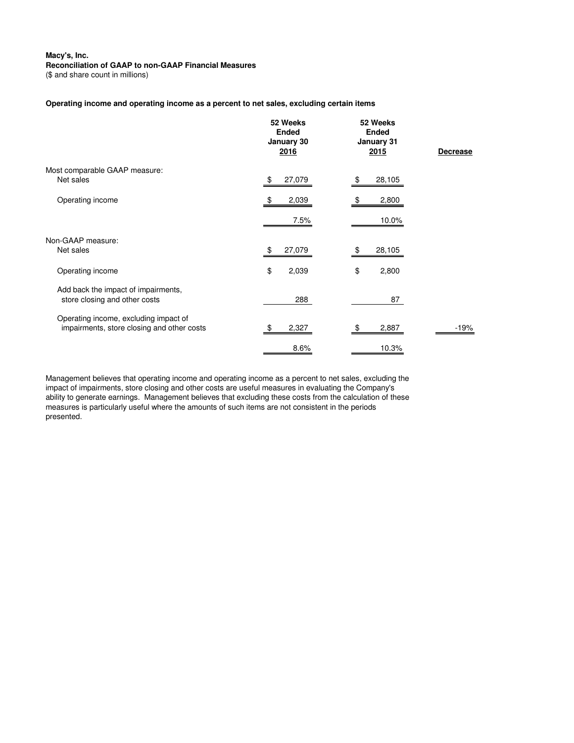(\$ and share count in millions)

# **Operating income and operating income as a percent to net sales, excluding certain items**

|                                                                                     | 52 Weeks<br><b>Ended</b><br>January 30<br>2016 | 52 Weeks<br><b>Ended</b><br>January 31<br><b>2015</b> | <b>Decrease</b> |
|-------------------------------------------------------------------------------------|------------------------------------------------|-------------------------------------------------------|-----------------|
| Most comparable GAAP measure:<br>Net sales                                          | 27,079<br>\$                                   | 28,105<br>\$                                          |                 |
| Operating income                                                                    | 2,039<br>-\$                                   | 2,800<br>\$                                           |                 |
|                                                                                     | 7.5%                                           | 10.0%                                                 |                 |
| Non-GAAP measure:<br>Net sales                                                      | 27,079<br>\$                                   | 28,105<br>\$                                          |                 |
| Operating income                                                                    | \$<br>2,039                                    | \$<br>2,800                                           |                 |
| Add back the impact of impairments,<br>store closing and other costs                | 288                                            | 87                                                    |                 |
| Operating income, excluding impact of<br>impairments, store closing and other costs | 2,327<br>- \$                                  | 2,887<br>\$                                           | -19%            |
|                                                                                     | 8.6%                                           | 10.3%                                                 |                 |

Management believes that operating income and operating income as a percent to net sales, excluding the impact of impairments, store closing and other costs are useful measures in evaluating the Company's ability to generate earnings. Management believes that excluding these costs from the calculation of these measures is particularly useful where the amounts of such items are not consistent in the periods presented.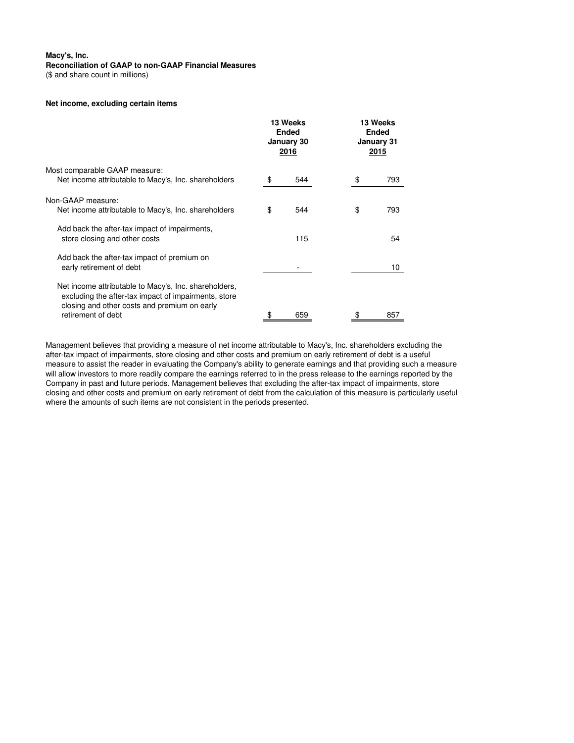(\$ and share count in millions)

# **Net income, excluding certain items**

|                                                                                                                                                                                     | 13 Weeks<br><b>Ended</b><br>January 30<br><u> 2016 </u> |     | 13 Weeks<br><b>Ended</b><br>January 31<br><b>2015</b> |     |
|-------------------------------------------------------------------------------------------------------------------------------------------------------------------------------------|---------------------------------------------------------|-----|-------------------------------------------------------|-----|
| Most comparable GAAP measure:<br>Net income attributable to Macy's, Inc. shareholders                                                                                               | \$                                                      | 544 |                                                       | 793 |
| Non-GAAP measure:<br>Net income attributable to Macy's, Inc. shareholders                                                                                                           | \$                                                      | 544 | \$                                                    | 793 |
| Add back the after-tax impact of impairments,<br>store closing and other costs                                                                                                      |                                                         | 115 |                                                       | 54  |
| Add back the after-tax impact of premium on<br>early retirement of debt                                                                                                             |                                                         |     |                                                       | 10  |
| Net income attributable to Macy's, Inc. shareholders,<br>excluding the after-tax impact of impairments, store<br>closing and other costs and premium on early<br>retirement of debt | \$                                                      | 659 |                                                       | 857 |

Management believes that providing a measure of net income attributable to Macy's, Inc. shareholders excluding the after-tax impact of impairments, store closing and other costs and premium on early retirement of debt is a useful measure to assist the reader in evaluating the Company's ability to generate earnings and that providing such a measure will allow investors to more readily compare the earnings referred to in the press release to the earnings reported by the Company in past and future periods. Management believes that excluding the after-tax impact of impairments, store closing and other costs and premium on early retirement of debt from the calculation of this measure is particularly useful where the amounts of such items are not consistent in the periods presented.